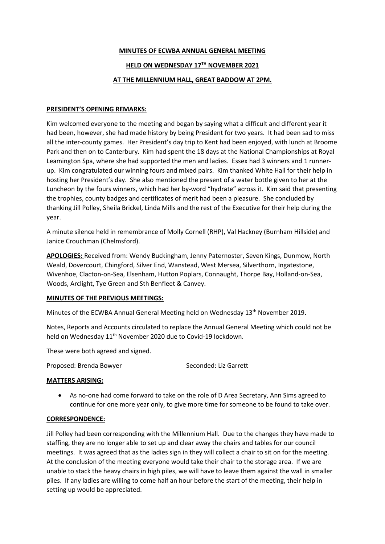## **MINUTES OF ECWBA ANNUAL GENERAL MEETING**

## **HELD ON WEDNESDAY 17TH NOVEMBER 2021**

## **AT THE MILLENNIUM HALL, GREAT BADDOW AT 2PM.**

### **PRESIDENT'S OPENING REMARKS:**

Kim welcomed everyone to the meeting and began by saying what a difficult and different year it had been, however, she had made history by being President for two years. It had been sad to miss all the inter-county games. Her President's day trip to Kent had been enjoyed, with lunch at Broome Park and then on to Canterbury. Kim had spent the 18 days at the National Championships at Royal Leamington Spa, where she had supported the men and ladies. Essex had 3 winners and 1 runnerup. Kim congratulated our winning fours and mixed pairs. Kim thanked White Hall for their help in hosting her President's day. She also mentioned the present of a water bottle given to her at the Luncheon by the fours winners, which had her by-word "hydrate" across it. Kim said that presenting the trophies, county badges and certificates of merit had been a pleasure. She concluded by thanking Jill Polley, Sheila Brickel, Linda Mills and the rest of the Executive for their help during the year.

A minute silence held in remembrance of Molly Cornell (RHP), Val Hackney (Burnham Hillside) and Janice Crouchman (Chelmsford).

**APOLOGIES:** Received from: Wendy Buckingham, Jenny Paternoster, Seven Kings, Dunmow, North Weald, Dovercourt, Chingford, Silver End, Wanstead, West Mersea, Silverthorn, Ingatestone, Wivenhoe, Clacton-on-Sea, Elsenham, Hutton Poplars, Connaught, Thorpe Bay, Holland-on-Sea, Woods, Arclight, Tye Green and Sth Benfleet & Canvey.

### **MINUTES OF THE PREVIOUS MEETINGS:**

Minutes of the ECWBA Annual General Meeting held on Wednesday 13<sup>th</sup> November 2019.

Notes, Reports and Accounts circulated to replace the Annual General Meeting which could not be held on Wednesday 11<sup>th</sup> November 2020 due to Covid-19 lockdown.

These were both agreed and signed.

Proposed: Brenda Bowyer Seconded: Liz Garrett

### **MATTERS ARISING:**

 As no-one had come forward to take on the role of D Area Secretary, Ann Sims agreed to continue for one more year only, to give more time for someone to be found to take over.

### **CORRESPONDENCE:**

Jill Polley had been corresponding with the Millennium Hall. Due to the changes they have made to staffing, they are no longer able to set up and clear away the chairs and tables for our council meetings. It was agreed that as the ladies sign in they will collect a chair to sit on for the meeting. At the conclusion of the meeting everyone would take their chair to the storage area. If we are unable to stack the heavy chairs in high piles, we will have to leave them against the wall in smaller piles. If any ladies are willing to come half an hour before the start of the meeting, their help in setting up would be appreciated.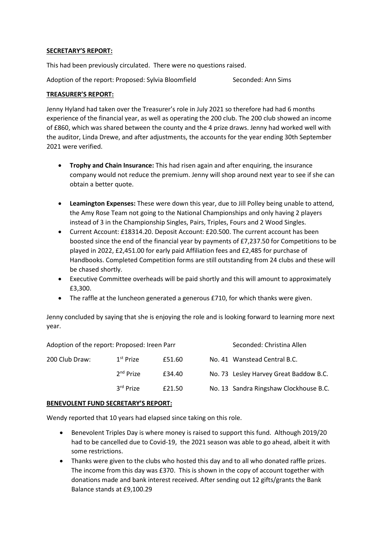## **SECRETARY'S REPORT:**

This had been previously circulated. There were no questions raised.

Adoption of the report: Proposed: Sylvia Bloomfield Seconded: Ann Sims

## **TREASURER'S REPORT:**

Jenny Hyland had taken over the Treasurer's role in July 2021 so therefore had had 6 months experience of the financial year, as well as operating the 200 club. The 200 club showed an income of £860, which was shared between the county and the 4 prize draws. Jenny had worked well with the auditor, Linda Drewe, and after adjustments, the accounts for the year ending 30th September 2021 were verified.

- **Trophy and Chain Insurance:** This had risen again and after enquiring, the insurance company would not reduce the premium. Jenny will shop around next year to see if she can obtain a better quote.
- **Leamington Expenses:** These were down this year, due to Jill Polley being unable to attend, the Amy Rose Team not going to the National Championships and only having 2 players instead of 3 in the Championship Singles, Pairs, Triples, Fours and 2 Wood Singles.
- Current Account: £18314.20. Deposit Account: £20.500. The current account has been boosted since the end of the financial year by payments of £7,237.50 for Competitions to be played in 2022, £2,451.00 for early paid Affiliation fees and £2,485 for purchase of Handbooks. Completed Competition forms are still outstanding from 24 clubs and these will be chased shortly.
- Executive Committee overheads will be paid shortly and this will amount to approximately £3,300.
- The raffle at the luncheon generated a generous £710, for which thanks were given.

Jenny concluded by saying that she is enjoying the role and is looking forward to learning more next year.

| Adoption of the report: Proposed: Ireen Parr |                       |        |  | Seconded: Christina Allen              |
|----------------------------------------------|-----------------------|--------|--|----------------------------------------|
| 200 Club Draw:                               | 1 <sup>st</sup> Prize | £51.60 |  | No. 41 Wanstead Central B.C.           |
|                                              | 2 <sup>nd</sup> Prize | £34.40 |  | No. 73 Lesley Harvey Great Baddow B.C. |
|                                              | 3 <sup>rd</sup> Prize | £21.50 |  | No. 13 Sandra Ringshaw Clockhouse B.C. |

### **BENEVOLENT FUND SECRETARY'S REPORT:**

Wendy reported that 10 years had elapsed since taking on this role.

- Benevolent Triples Day is where money is raised to support this fund. Although 2019/20 had to be cancelled due to Covid-19, the 2021 season was able to go ahead, albeit it with some restrictions.
- Thanks were given to the clubs who hosted this day and to all who donated raffle prizes. The income from this day was £370. This is shown in the copy of account together with donations made and bank interest received. After sending out 12 gifts/grants the Bank Balance stands at £9,100.29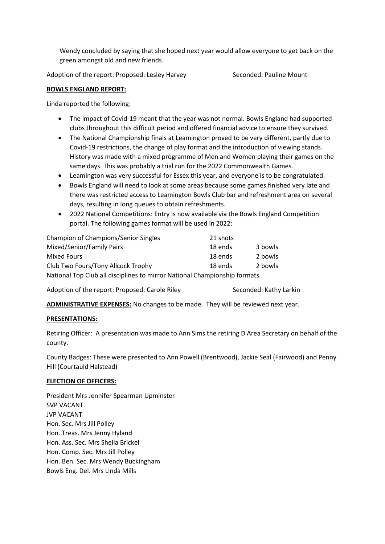Wendy concluded by saying that she hoped next year would allow everyone to get back on the green amongst old and new friends.

Adoption of the report: Proposed: Lesley Harvey Seconded: Pauline Mount

## **BOWLS ENGLAND REPORT:**

Linda reported the following:

- The impact of Covid-19 meant that the year was not normal. Bowls England had supported clubs throughout this difficult period and offered financial advice to ensure they survived.
- The National Championship finals at Leamington proved to be very different, partly due to Covid-19 restrictions, the change of play format and the introduction of viewing stands. History was made with a mixed programme of Men and Women playing their games on the same days. This was probably a trial run for the 2022 Commonwealth Games.
- Leamington was very successful for Essex this year, and everyone is to be congratulated.
- Bowls England will need to look at some areas because some games finished very late and there was restricted access to Leamington Bowls Club bar and refreshment area on several days, resulting in long queues to obtain refreshments.
- 2022 National Competitions: Entry is now available via the Bowls England Competition portal. The following games format will be used in 2022:

| <b>Champion of Champions/Senior Singles</b>                                | 21 shots |         |  |  |
|----------------------------------------------------------------------------|----------|---------|--|--|
| Mixed/Senior/Family Pairs                                                  | 18 ends  | 3 bowls |  |  |
| Mixed Fours                                                                | 18 ends  | 2 bowls |  |  |
| Club Two Fours/Tony Allcock Trophy                                         | 18 ends  | 2 bowls |  |  |
| National Top Club all disciplines to mirror National Championship formats. |          |         |  |  |

Adoption of the report: Proposed: Carole Riley Seconded: Kathy Larkin

**ADMINISTRATIVE EXPENSES:** No changes to be made. They will be reviewed next year.

## **PRESENTATIONS:**

Retiring Officer: A presentation was made to Ann Sims the retiring D Area Secretary on behalf of the county.

County Badges: These were presented to Ann Powell (Brentwood), Jackie Seal (Fairwood) and Penny Hill (Courtauld Halstead)

### **ELECTION OF OFFICERS:**

President Mrs Jennifer Spearman Upminster SVP VACANT JVP VACANT Hon. Sec. Mrs Jill Polley Hon. Treas. Mrs Jenny Hyland Hon. Ass. Sec. Mrs Sheila Brickel Hon. Comp. Sec. Mrs Jill Polley Hon. Ben. Sec. Mrs Wendy Buckingham Bowls Eng. Del. Mrs Linda Mills